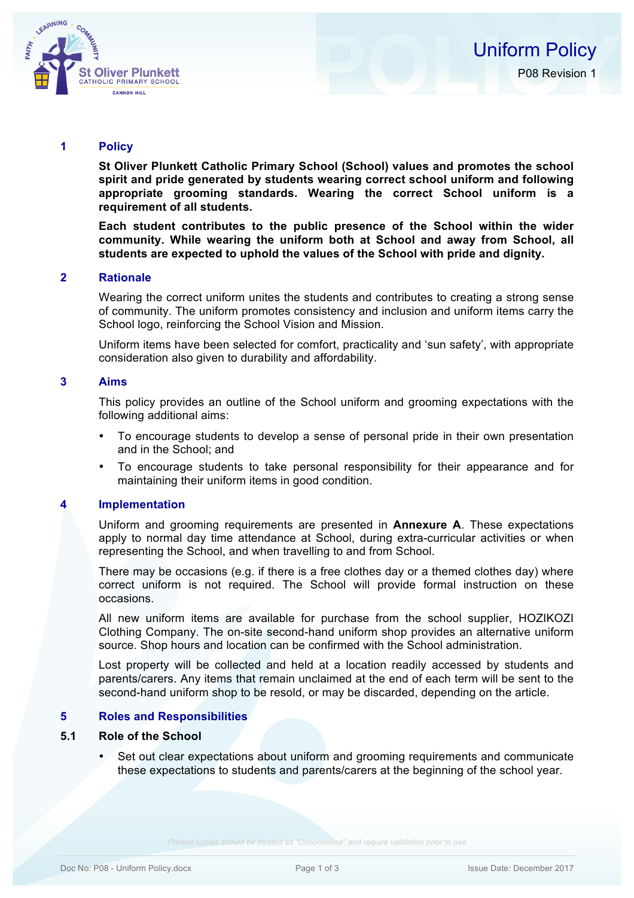

## **1 Policy**

**St Oliver Plunkett Catholic Primary School (School) values and promotes the school spirit and pride generated by students wearing correct school uniform and following appropriate grooming standards. Wearing the correct School uniform is a requirement of all students.**

**Each student contributes to the public presence of the School within the wider community. While wearing the uniform both at School and away from School, all students are expected to uphold the values of the School with pride and dignity.**

## **2 Rationale**

Wearing the correct uniform unites the students and contributes to creating a strong sense of community. The uniform promotes consistency and inclusion and uniform items carry the School logo, reinforcing the School Vision and Mission.

Uniform items have been selected for comfort, practicality and 'sun safety', with appropriate consideration also given to durability and affordability.

## **3 Aims**

This policy provides an outline of the School uniform and grooming expectations with the following additional aims:

- To encourage students to develop a sense of personal pride in their own presentation and in the School; and
- To encourage students to take personal responsibility for their appearance and for maintaining their uniform items in good condition.

## **4 Implementation**

Uniform and grooming requirements are presented in **Annexure A**. These expectations apply to normal day time attendance at School, during extra-curricular activities or when representing the School, and when travelling to and from School.

There may be occasions (e.g. if there is a free clothes day or a themed clothes day) where correct uniform is not required. The School will provide formal instruction on these occasions.

All new uniform items are available for purchase from the school supplier, HOZIKOZI Clothing Company. The on-site second-hand uniform shop provides an alternative uniform source. Shop hours and location can be confirmed with the School administration.

Lost property will be collected and held at a location readily accessed by students and parents/carers. Any items that remain unclaimed at the end of each term will be sent to the second-hand uniform shop to be resold, or may be discarded, depending on the article.

## **5 Roles and Responsibilities**

## **5.1 Role of the School**

• Set out clear expectations about uniform and grooming requirements and communicate these expectations to students and parents/carers at the beginning of the school year.

*Printed copies should be treated as "Uncontrolled" and require validation prior to use*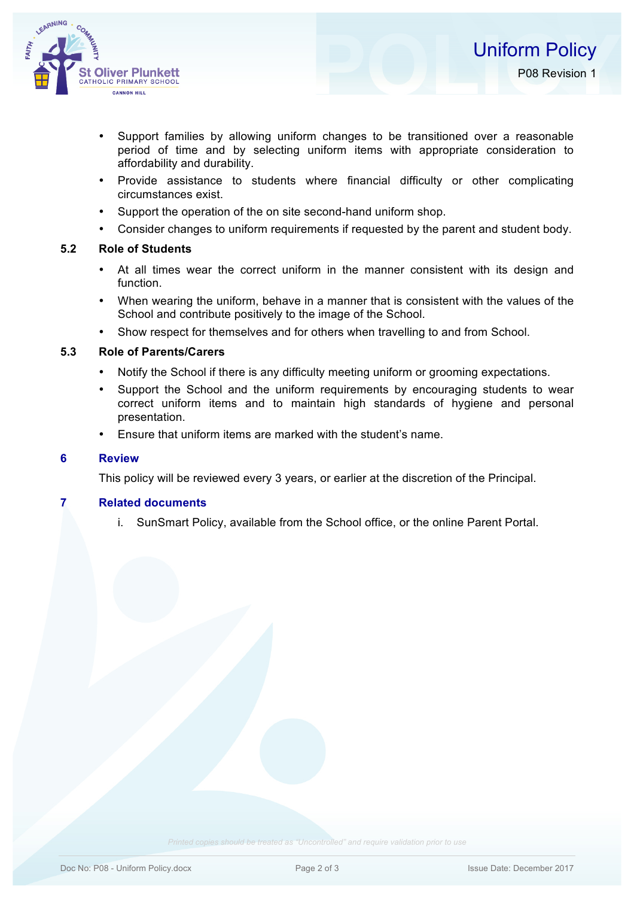

- Support families by allowing uniform changes to be transitioned over a reasonable period of time and by selecting uniform items with appropriate consideration to affordability and durability.
- Provide assistance to students where financial difficulty or other complicating circumstances exist.
- Support the operation of the on site second-hand uniform shop.
- Consider changes to uniform requirements if requested by the parent and student body.

## **5.2 Role of Students**

- At all times wear the correct uniform in the manner consistent with its design and function.
- When wearing the uniform, behave in a manner that is consistent with the values of the School and contribute positively to the image of the School.
- Show respect for themselves and for others when travelling to and from School.

## **5.3 Role of Parents/Carers**

- Notify the School if there is any difficulty meeting uniform or grooming expectations.
- Support the School and the uniform requirements by encouraging students to wear correct uniform items and to maintain high standards of hygiene and personal presentation.
- Ensure that uniform items are marked with the student's name.

## **6 Review**

This policy will be reviewed every 3 years, or earlier at the discretion of the Principal.

## **7 Related documents**

i. SunSmart Policy, available from the School office, or the online Parent Portal.

*Printed copies should be treated as "Uncontrolled" and require validation prior to use*